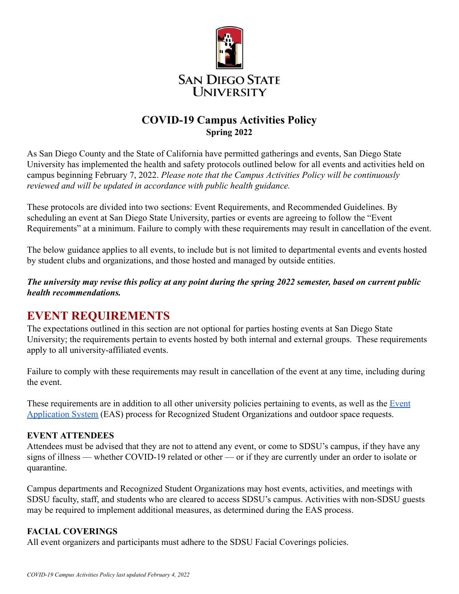

# **COVID-19 Campus Activities Policy Spring 2022**

As San Diego County and the State of California have permitted gatherings and events, San Diego State University has implemented the health and safety protocols outlined below for all events and activities held on campus beginning February 7, 2022. *Please note that the Campus Activities Policy will be continuously reviewed and will be updated in accordance with public health guidance.*

These protocols are divided into two sections: Event Requirements, and Recommended Guidelines. By scheduling an event at San Diego State University, parties or events are agreeing to follow the "Event Requirements" at a minimum. Failure to comply with these requirements may result in cancellation of the event.

The below guidance applies to all events, to include but is not limited to departmental events and events hosted by student clubs and organizations, and those hosted and managed by outside entities.

#### *The university may revise this policy at any point during the spring 2022 semester, based on current public health recommendations.*

# **EVENT REQUIREMENTS**

The expectations outlined in this section are not optional for parties hosting events at San Diego State University; the requirements pertain to events hosted by both internal and external groups. These requirements apply to all university-affiliated events.

Failure to comply with these requirements may result in cancellation of the event at any time, including during the event.

These requirements are in addition to all other university policies pertaining to events, as well as the [Event](https://stuapp.sdsu.edu/EAS/Customer/Start) [Application System](https://stuapp.sdsu.edu/EAS/Customer/Start) (EAS) process for Recognized Student Organizations and outdoor space requests.

## **EVENT ATTENDEES**

Attendees must be advised that they are not to attend any event, or come to SDSU's campus, if they have any signs of illness — whether COVID-19 related or other — or if they are currently under an order to isolate or quarantine.

Campus departments and Recognized Student Organizations may host events, activities, and meetings with SDSU faculty, staff, and students who are cleared to access SDSU's campus. Activities with non-SDSU guests may be required to implement additional measures, as determined during the EAS process.

## **FACIAL COVERINGS**

All event organizers and participants must adhere to the SDSU Facial Coverings policies.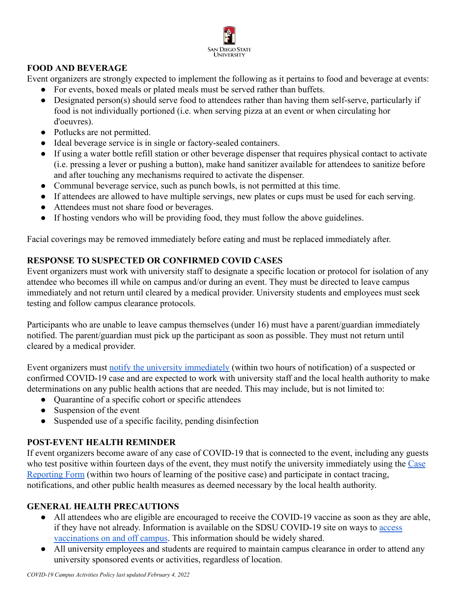

#### **FOOD AND BEVERAGE**

Event organizers are strongly expected to implement the following as it pertains to food and beverage at events:

- For events, boxed meals or plated meals must be served rather than buffets.
- Designated person(s) should serve food to attendees rather than having them self-serve, particularly if food is not individually portioned (i.e. when serving pizza at an event or when circulating hor d'oeuvres).
- Potlucks are not permitted.
- Ideal beverage service is in single or factory-sealed containers.
- If using a water bottle refill station or other beverage dispenser that requires physical contact to activate (i.e. pressing a lever or pushing a button), make hand sanitizer available for attendees to sanitize before and after touching any mechanisms required to activate the dispenser.
- Communal beverage service, such as punch bowls, is not permitted at this time.
- If attendees are allowed to have multiple servings, new plates or cups must be used for each serving.
- Attendees must not share food or beverages.
- If hosting vendors who will be providing food, they must follow the above guidelines.

Facial coverings may be removed immediately before eating and must be replaced immediately after.

## **RESPONSE TO SUSPECTED OR CONFIRMED COVID CASES**

Event organizers must work with university staff to designate a specific location or protocol for isolation of any attendee who becomes ill while on campus and/or during an event. They must be directed to leave campus immediately and not return until cleared by a medical provider. University students and employees must seek testing and follow campus clearance protocols.

Participants who are unable to leave campus themselves (under 16) must have a parent/guardian immediately notified. The parent/guardian must pick up the participant as soon as possible. They must not return until cleared by a medical provider.

Event organizers must [notify the university immediately](https://sacd.sdsu.edu/student-health-services/covid-19#report) (within two hours of notification) of a suspected or confirmed COVID-19 case and are expected to work with university staff and the local health authority to make determinations on any public health actions that are needed. This may include, but is not limited to:

- Quarantine of a specific cohort or specific attendees
- Suspension of the event
- Suspended use of a specific facility, pending disinfection

## **POST-EVENT HEALTH REMINDER**

If event organizers become aware of any case of COVID-19 that is connected to the event, including any guests who test positive within fourteen days of the event, they must notify the university immediately using the [Case](https://sacd.sdsu.edu/student-health-services/covid-19#report) [Reporting Form](https://sacd.sdsu.edu/student-health-services/covid-19#report) (within two hours of learning of the positive case) and participate in contact tracing, notifications, and other public health measures as deemed necessary by the local health authority.

## **GENERAL HEALTH PRECAUTIONS**

- All attendees who are eligible are encouraged to receive the COVID-19 vaccine as soon as they are able, if they have not already. Information is available on the SDSU COVID-19 site on ways to [access](https://sacd.sdsu.edu/student-health-services/services/covid19care) [vaccinations on and off campus.](https://sacd.sdsu.edu/student-health-services/services/covid19care) This information should be widely shared.
- All university employees and students are required to maintain campus clearance in order to attend any university sponsored events or activities, regardless of location.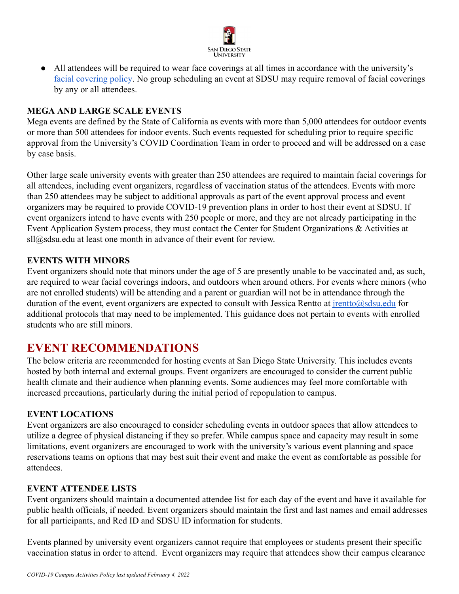

• All attendees will be required to wear face coverings at all times in accordance with the university's [facial covering policy](https://sacd.sdsu.edu/student-health-services/covid-19/general-prevention). No group scheduling an event at SDSU may require removal of facial coverings by any or all attendees.

#### **MEGA AND LARGE SCALE EVENTS**

Mega events are defined by the State of California as events with more than 5,000 attendees for outdoor events or more than 500 attendees for indoor events. Such events requested for scheduling prior to require specific approval from the University's COVID Coordination Team in order to proceed and will be addressed on a case by case basis.

Other large scale university events with greater than 250 attendees are required to maintain facial coverings for all attendees, including event organizers, regardless of vaccination status of the attendees. Events with more than 250 attendees may be subject to additional approvals as part of the event approval process and event organizers may be required to provide COVID-19 prevention plans in order to host their event at SDSU. If event organizers intend to have events with 250 people or more, and they are not already participating in the Event Application System process, they must contact the Center for Student Organizations & Activities at sll@sdsu.edu at least one month in advance of their event for review.

#### **EVENTS WITH MINORS**

Event organizers should note that minors under the age of 5 are presently unable to be vaccinated and, as such, are required to wear facial coverings indoors, and outdoors when around others. For events where minors (who are not enrolled students) will be attending and a parent or guardian will not be in attendance through the duration of the event, event organizers are expected to consult with Jessica Rentto at [jrentto@sdsu.edu](mailto:jrentto@sdsu.edu) for additional protocols that may need to be implemented. This guidance does not pertain to events with enrolled students who are still minors.

# **EVENT RECOMMENDATIONS**

The below criteria are recommended for hosting events at San Diego State University. This includes events hosted by both internal and external groups. Event organizers are encouraged to consider the current public health climate and their audience when planning events. Some audiences may feel more comfortable with increased precautions, particularly during the initial period of repopulation to campus.

#### **EVENT LOCATIONS**

Event organizers are also encouraged to consider scheduling events in outdoor spaces that allow attendees to utilize a degree of physical distancing if they so prefer. While campus space and capacity may result in some limitations, event organizers are encouraged to work with the university's various event planning and space reservations teams on options that may best suit their event and make the event as comfortable as possible for attendees.

#### **EVENT ATTENDEE LISTS**

Event organizers should maintain a documented attendee list for each day of the event and have it available for public health officials, if needed. Event organizers should maintain the first and last names and email addresses for all participants, and Red ID and SDSU ID information for students.

Events planned by university event organizers cannot require that employees or students present their specific vaccination status in order to attend. Event organizers may require that attendees show their campus clearance